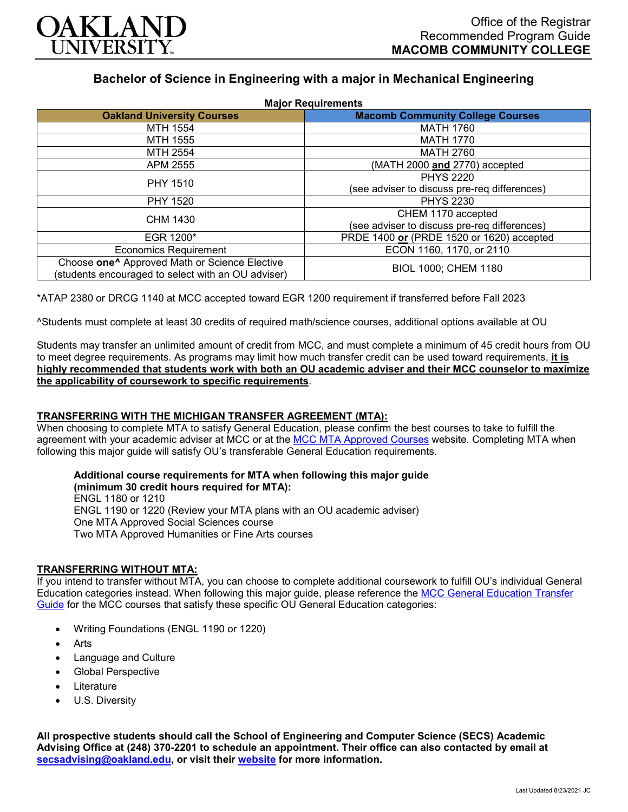

# **Bachelor of Science in Engineering with a major in Mechanical Engineering**

| <b>Major Requirements</b>                                 |                                              |
|-----------------------------------------------------------|----------------------------------------------|
| <b>Oakland University Courses</b>                         | <b>Macomb Community College Courses</b>      |
| MTH 1554                                                  | <b>MATH 1760</b>                             |
| MTH 1555                                                  | <b>MATH 1770</b>                             |
| MTH 2554                                                  | <b>MATH 2760</b>                             |
| APM 2555                                                  | (MATH 2000 and 2770) accepted                |
| <b>PHY 1510</b>                                           | <b>PHYS 2220</b>                             |
|                                                           | (see adviser to discuss pre-req differences) |
| PHY 1520                                                  | <b>PHYS 2230</b>                             |
| CHM 1430                                                  | CHEM 1170 accepted                           |
|                                                           | (see adviser to discuss pre-req differences) |
| EGR 1200*                                                 | PRDE 1400 or (PRDE 1520 or 1620) accepted    |
| <b>Economics Requirement</b>                              | ECON 1160, 1170, or 2110                     |
| Choose one <sup>^</sup> Approved Math or Science Elective | BIOL 1000; CHEM 1180                         |
| (students encouraged to select with an OU adviser)        |                                              |

\*ATAP 2380 or DRCG 1140 at MCC accepted toward EGR 1200 requirement if transferred before Fall 2023

^Students must complete at least 30 credits of required math/science courses, additional options available at OU

Students may transfer an unlimited amount of credit from MCC, and must complete a minimum of 45 credit hours from OU to meet degree requirements. As programs may limit how much transfer credit can be used toward requirements, **it is highly recommended that students work with both an OU academic adviser and their MCC counselor to maximize the applicability of coursework to specific requirements**.

## **TRANSFERRING WITH THE MICHIGAN TRANSFER AGREEMENT (MTA):**

When choosing to complete MTA to satisfy General Education, please confirm the best courses to take to fulfill the agreement with your academic adviser at MCC or at the [MCC MTA Approved Courses](https://www.macomb.edu/resources/transfer-articulation/attachments/mta-macrao-course-list.pdf) website. Completing MTA when following this major guide will satisfy OU's transferable General Education requirements.

## **Additional course requirements for MTA when following this major guide**

**(minimum 30 credit hours required for MTA):** ENGL 1180 or 1210 ENGL 1190 or 1220 (Review your MTA plans with an OU academic adviser) One MTA Approved Social Sciences course Two MTA Approved Humanities or Fine Arts courses

## **TRANSFERRING WITHOUT MTA:**

If you intend to transfer without MTA, you can choose to complete additional coursework to fulfill OU's individual General Education categories instead. When following this major guide, please reference the [MCC General Education Transfer](https://www.oakland.edu/Assets/Oakland/program-guides/macomb-community-college/university-general-education-requirements/MCC%20Gen%20Ed.pdf)  [Guide](https://www.oakland.edu/Assets/Oakland/program-guides/macomb-community-college/university-general-education-requirements/MCC%20Gen%20Ed.pdf) for the MCC courses that satisfy these specific OU General Education categories:

- Writing Foundations (ENGL 1190 or 1220)
- **Arts**
- Language and Culture
- Global Perspective
- **Literature**
- U.S. Diversity

**All prospective students should call the School of Engineering and Computer Science (SECS) Academic Advising Office at (248) 370-2201 to schedule an appointment. Their office can also contacted by email at [secsadvising@oakland.edu,](mailto:secsadvising@oakland.edu) or visit their [website](https://wwwp.oakland.edu/secs/advising/) for more information.**